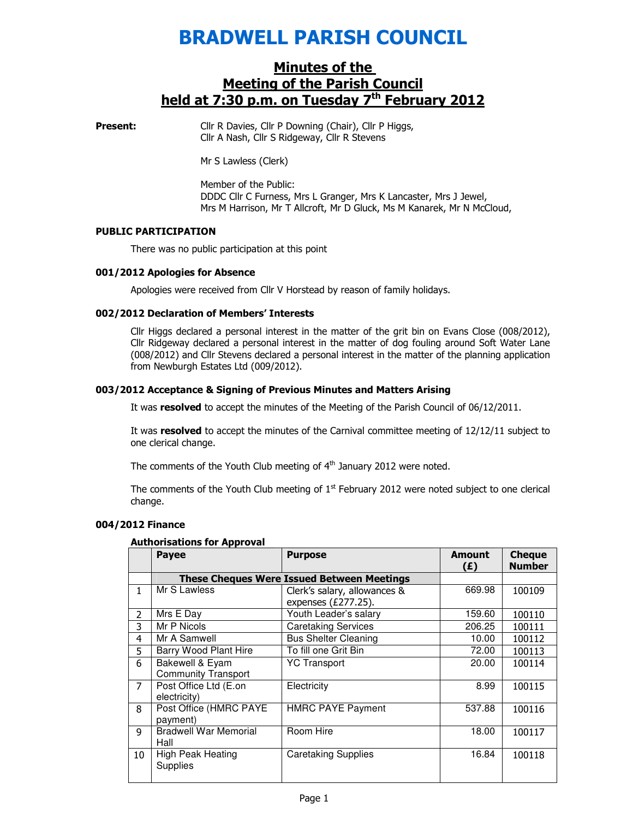# BRADWELL PARISH COUNCIL

## Minutes of the Meeting of the Parish Council held at 7:30 p.m. on Tuesday 7<sup>th</sup> February 2012

**Present:** Cllr R Davies, Cllr P Downing (Chair), Cllr P Higgs, Cllr A Nash, Cllr S Ridgeway, Cllr R Stevens

Mr S Lawless (Clerk)

Member of the Public: DDDC Cllr C Furness, Mrs L Granger, Mrs K Lancaster, Mrs J Jewel, Mrs M Harrison, Mr T Allcroft, Mr D Gluck, Ms M Kanarek, Mr N McCloud,

## PUBLIC PARTICIPATION

There was no public participation at this point

## 001/2012 Apologies for Absence

Apologies were received from Cllr V Horstead by reason of family holidays.

## 002/2012 Declaration of Members' Interests

Cllr Higgs declared a personal interest in the matter of the grit bin on Evans Close (008/2012), Cllr Ridgeway declared a personal interest in the matter of dog fouling around Soft Water Lane (008/2012) and Cllr Stevens declared a personal interest in the matter of the planning application from Newburgh Estates Ltd (009/2012).

## 003/2012 Acceptance & Signing of Previous Minutes and Matters Arising

It was resolved to accept the minutes of the Meeting of the Parish Council of 06/12/2011.

It was resolved to accept the minutes of the Carnival committee meeting of 12/12/11 subject to one clerical change.

The comments of the Youth Club meeting of  $4<sup>th</sup>$  January 2012 were noted.

The comments of the Youth Club meeting of  $1<sup>st</sup>$  February 2012 were noted subject to one clerical change.

## 004/2012 Finance

## Authorisations for Approval

|                | <b>Payee</b>                                      | <b>Purpose</b>                                         | <b>Amount</b><br>(E) | <b>Cheque</b><br><b>Number</b> |
|----------------|---------------------------------------------------|--------------------------------------------------------|----------------------|--------------------------------|
|                | <b>These Cheques Were Issued Between Meetings</b> |                                                        |                      |                                |
| 1.             | Mr S Lawless                                      | Clerk's salary, allowances &<br>expenses $(E277.25)$ . | 669.98               | 100109                         |
| $\overline{2}$ | Mrs E Day                                         | Youth Leader's salary                                  | 159.60               | 100110                         |
| 3              | Mr P Nicols                                       | <b>Caretaking Services</b>                             | 206.25               | 100111                         |
| 4              | Mr A Samwell                                      | <b>Bus Shelter Cleaning</b>                            | 10.00                | 100112                         |
| 5              | Barry Wood Plant Hire                             | To fill one Grit Bin                                   | 72.00                | 100113                         |
| 6              | Bakewell & Eyam<br><b>Community Transport</b>     | <b>YC Transport</b>                                    | 20.00                | 100114                         |
| 7              | Post Office Ltd (E.on<br>electricity)             | Electricity                                            | 8.99                 | 100115                         |
| 8              | Post Office (HMRC PAYE<br>payment)                | <b>HMRC PAYE Payment</b>                               | 537.88               | 100116                         |
| 9              | <b>Bradwell War Memorial</b><br>Hall              | Room Hire                                              | 18.00                | 100117                         |
| 10             | <b>High Peak Heating</b><br>Supplies              | <b>Caretaking Supplies</b>                             | 16.84                | 100118                         |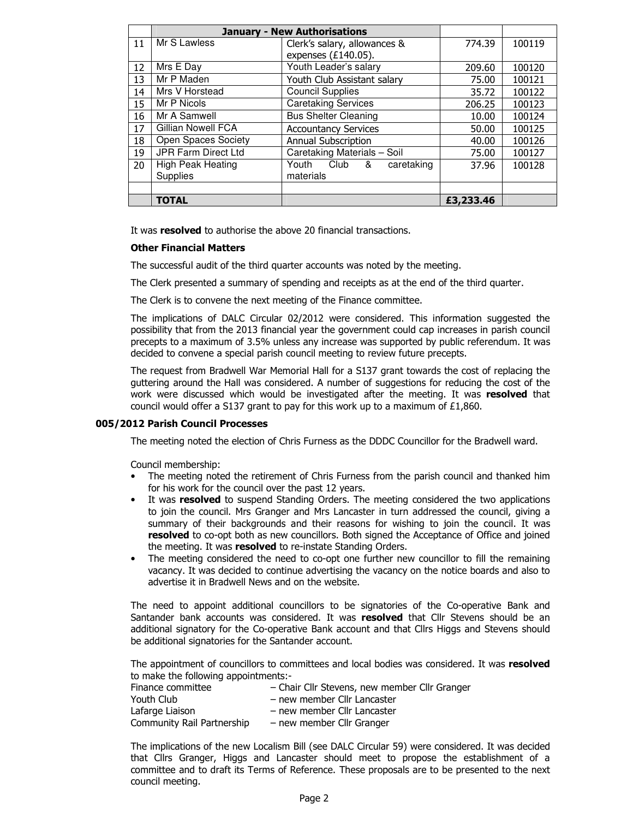|    |                            | <b>January - New Authorisations</b> |           |        |
|----|----------------------------|-------------------------------------|-----------|--------|
| 11 | Mr S Lawless               | Clerk's salary, allowances &        | 774.39    | 100119 |
|    |                            | expenses $(E140.05)$ .              |           |        |
| 12 | Mrs E Day                  | Youth Leader's salary               | 209.60    | 100120 |
| 13 | Mr P Maden                 | Youth Club Assistant salary         | 75.00     | 100121 |
| 14 | Mrs V Horstead             | <b>Council Supplies</b>             | 35.72     | 100122 |
| 15 | Mr P Nicols                | <b>Caretaking Services</b>          | 206.25    | 100123 |
| 16 | Mr A Samwell               | <b>Bus Shelter Cleaning</b>         | 10.00     | 100124 |
| 17 | <b>Gillian Nowell FCA</b>  | <b>Accountancy Services</b>         | 50.00     | 100125 |
| 18 | <b>Open Spaces Society</b> | <b>Annual Subscription</b>          | 40.00     | 100126 |
| 19 | <b>JPR Farm Direct Ltd</b> | Caretaking Materials - Soil         | 75.00     | 100127 |
| 20 | <b>High Peak Heating</b>   | Club<br>caretaking<br>&<br>Youth    | 37.96     | 100128 |
|    | <b>Supplies</b>            | materials                           |           |        |
|    |                            |                                     |           |        |
|    | <b>TOTAL</b>               |                                     | £3,233,46 |        |

It was resolved to authorise the above 20 financial transactions.

## Other Financial Matters

The successful audit of the third quarter accounts was noted by the meeting.

The Clerk presented a summary of spending and receipts as at the end of the third quarter.

The Clerk is to convene the next meeting of the Finance committee.

The implications of DALC Circular 02/2012 were considered. This information suggested the possibility that from the 2013 financial year the government could cap increases in parish council precepts to a maximum of 3.5% unless any increase was supported by public referendum. It was decided to convene a special parish council meeting to review future precepts.

The request from Bradwell War Memorial Hall for a S137 grant towards the cost of replacing the guttering around the Hall was considered. A number of suggestions for reducing the cost of the work were discussed which would be investigated after the meeting. It was resolved that council would offer a S137 grant to pay for this work up to a maximum of £1,860.

## 005/2012 Parish Council Processes

The meeting noted the election of Chris Furness as the DDDC Councillor for the Bradwell ward.

Council membership:

- The meeting noted the retirement of Chris Furness from the parish council and thanked him for his work for the council over the past 12 years.
- It was resolved to suspend Standing Orders. The meeting considered the two applications to join the council. Mrs Granger and Mrs Lancaster in turn addressed the council, giving a summary of their backgrounds and their reasons for wishing to join the council. It was resolved to co-opt both as new councillors. Both signed the Acceptance of Office and joined the meeting. It was resolved to re-instate Standing Orders.
- The meeting considered the need to co-opt one further new councillor to fill the remaining vacancy. It was decided to continue advertising the vacancy on the notice boards and also to advertise it in Bradwell News and on the website.

The need to appoint additional councillors to be signatories of the Co-operative Bank and Santander bank accounts was considered. It was resolved that Cllr Stevens should be an additional signatory for the Co-operative Bank account and that Cllrs Higgs and Stevens should be additional signatories for the Santander account.

The appointment of councillors to committees and local bodies was considered. It was resolved to make the following appointments:-

| Finance committee          | - Chair Cllr Stevens, new member Cllr Granger |
|----------------------------|-----------------------------------------------|
| Youth Club                 | – new member Cllr Lancaster                   |
| Lafarge Liaison            | – new member Cllr Lancaster                   |
| Community Rail Partnership | – new member Cllr Granger                     |

The implications of the new Localism Bill (see DALC Circular 59) were considered. It was decided that Cllrs Granger, Higgs and Lancaster should meet to propose the establishment of a committee and to draft its Terms of Reference. These proposals are to be presented to the next council meeting.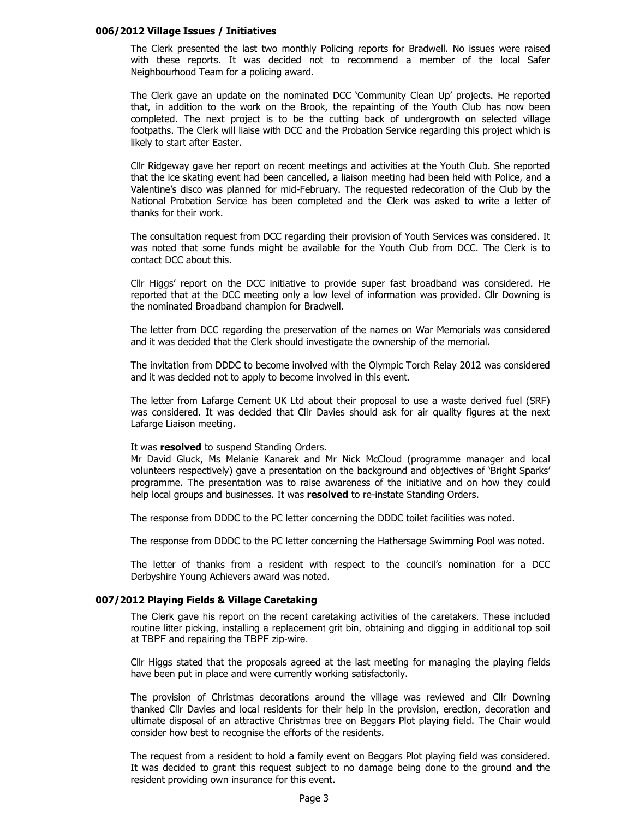#### 006/2012 Village Issues / Initiatives

The Clerk presented the last two monthly Policing reports for Bradwell. No issues were raised with these reports. It was decided not to recommend a member of the local Safer Neighbourhood Team for a policing award.

The Clerk gave an update on the nominated DCC 'Community Clean Up' projects. He reported that, in addition to the work on the Brook, the repainting of the Youth Club has now been completed. The next project is to be the cutting back of undergrowth on selected village footpaths. The Clerk will liaise with DCC and the Probation Service regarding this project which is likely to start after Easter.

Cllr Ridgeway gave her report on recent meetings and activities at the Youth Club. She reported that the ice skating event had been cancelled, a liaison meeting had been held with Police, and a Valentine's disco was planned for mid-February. The requested redecoration of the Club by the National Probation Service has been completed and the Clerk was asked to write a letter of thanks for their work.

The consultation request from DCC regarding their provision of Youth Services was considered. It was noted that some funds might be available for the Youth Club from DCC. The Clerk is to contact DCC about this.

Cllr Higgs' report on the DCC initiative to provide super fast broadband was considered. He reported that at the DCC meeting only a low level of information was provided. Cllr Downing is the nominated Broadband champion for Bradwell.

The letter from DCC regarding the preservation of the names on War Memorials was considered and it was decided that the Clerk should investigate the ownership of the memorial.

The invitation from DDDC to become involved with the Olympic Torch Relay 2012 was considered and it was decided not to apply to become involved in this event.

The letter from Lafarge Cement UK Ltd about their proposal to use a waste derived fuel (SRF) was considered. It was decided that Cllr Davies should ask for air quality figures at the next Lafarge Liaison meeting.

#### It was **resolved** to suspend Standing Orders.

Mr David Gluck, Ms Melanie Kanarek and Mr Nick McCloud (programme manager and local volunteers respectively) gave a presentation on the background and objectives of 'Bright Sparks' programme. The presentation was to raise awareness of the initiative and on how they could help local groups and businesses. It was resolved to re-instate Standing Orders.

The response from DDDC to the PC letter concerning the DDDC toilet facilities was noted.

The response from DDDC to the PC letter concerning the Hathersage Swimming Pool was noted.

The letter of thanks from a resident with respect to the council's nomination for a DCC Derbyshire Young Achievers award was noted.

#### 007/2012 Playing Fields & Village Caretaking

The Clerk gave his report on the recent caretaking activities of the caretakers. These included routine litter picking, installing a replacement grit bin, obtaining and digging in additional top soil at TBPF and repairing the TBPF zip-wire.

Cllr Higgs stated that the proposals agreed at the last meeting for managing the playing fields have been put in place and were currently working satisfactorily.

The provision of Christmas decorations around the village was reviewed and Cllr Downing thanked Cllr Davies and local residents for their help in the provision, erection, decoration and ultimate disposal of an attractive Christmas tree on Beggars Plot playing field. The Chair would consider how best to recognise the efforts of the residents.

The request from a resident to hold a family event on Beggars Plot playing field was considered. It was decided to grant this request subject to no damage being done to the ground and the resident providing own insurance for this event.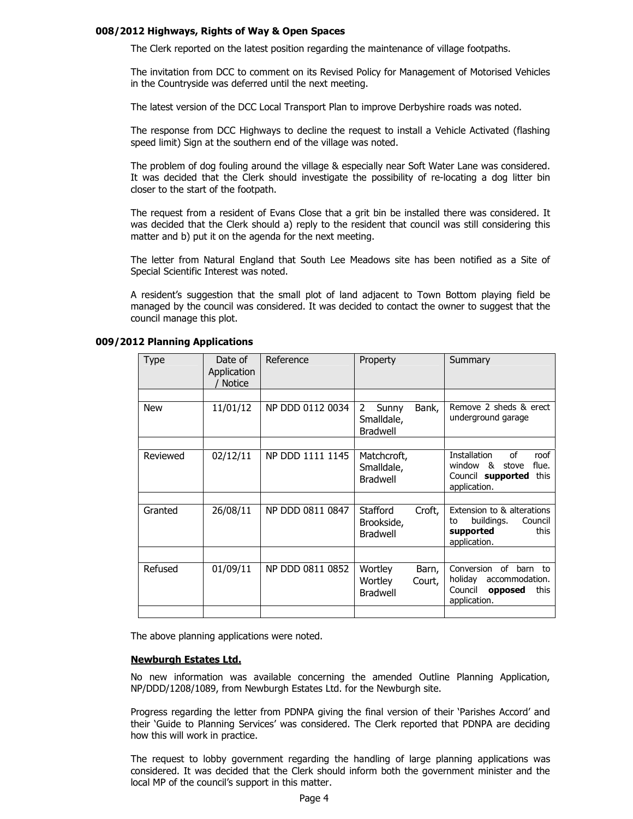### 008/2012 Highways, Rights of Way & Open Spaces

The Clerk reported on the latest position regarding the maintenance of village footpaths.

The invitation from DCC to comment on its Revised Policy for Management of Motorised Vehicles in the Countryside was deferred until the next meeting.

The latest version of the DCC Local Transport Plan to improve Derbyshire roads was noted.

The response from DCC Highways to decline the request to install a Vehicle Activated (flashing speed limit) Sign at the southern end of the village was noted.

The problem of dog fouling around the village & especially near Soft Water Lane was considered. It was decided that the Clerk should investigate the possibility of re-locating a dog litter bin closer to the start of the footpath.

The request from a resident of Evans Close that a grit bin be installed there was considered. It was decided that the Clerk should a) reply to the resident that council was still considering this matter and b) put it on the agenda for the next meeting.

The letter from Natural England that South Lee Meadows site has been notified as a Site of Special Scientific Interest was noted.

A resident's suggestion that the small plot of land adjacent to Town Bottom playing field be managed by the council was considered. It was decided to contact the owner to suggest that the council manage this plot.

| Type       | Date of<br>Application<br><b>Notice</b> | Reference        | Property                                                   | Summary                                                                                                           |
|------------|-----------------------------------------|------------------|------------------------------------------------------------|-------------------------------------------------------------------------------------------------------------------|
| <b>New</b> | 11/01/12                                | NP DDD 0112 0034 | 2<br>Sunny<br>Bank,<br>Smalldale,<br><b>Bradwell</b>       | Remove 2 sheds & erect<br>underground garage                                                                      |
| Reviewed   | 02/12/11                                | NP DDD 1111 1145 | Matchcroft,<br>Smalldale,<br><b>Bradwell</b>               | of<br>roof<br>Installation<br>$\alpha$<br>flue.<br>window<br>stove<br>Council supported<br>this<br>application.   |
| Granted    | 26/08/11                                | NP DDD 0811 0847 | <b>Stafford</b><br>Croft,<br>Brookside,<br><b>Bradwell</b> | Extension to & alterations<br>buildings.<br>Council<br>to<br>supported<br>this<br>application.                    |
| Refused    | 01/09/11                                | NP DDD 0811 0852 | Wortley<br>Barn,<br>Wortley<br>Court,<br><b>Bradwell</b>   | of<br>Conversion<br>barn<br><b>t</b> o<br>holiday<br>accommodation.<br>Council<br>this<br>opposed<br>application. |

#### 009/2012 Planning Applications

The above planning applications were noted.

#### Newburgh Estates Ltd.

No new information was available concerning the amended Outline Planning Application, NP/DDD/1208/1089, from Newburgh Estates Ltd. for the Newburgh site.

Progress regarding the letter from PDNPA giving the final version of their 'Parishes Accord' and their 'Guide to Planning Services' was considered. The Clerk reported that PDNPA are deciding how this will work in practice.

The request to lobby government regarding the handling of large planning applications was considered. It was decided that the Clerk should inform both the government minister and the local MP of the council's support in this matter.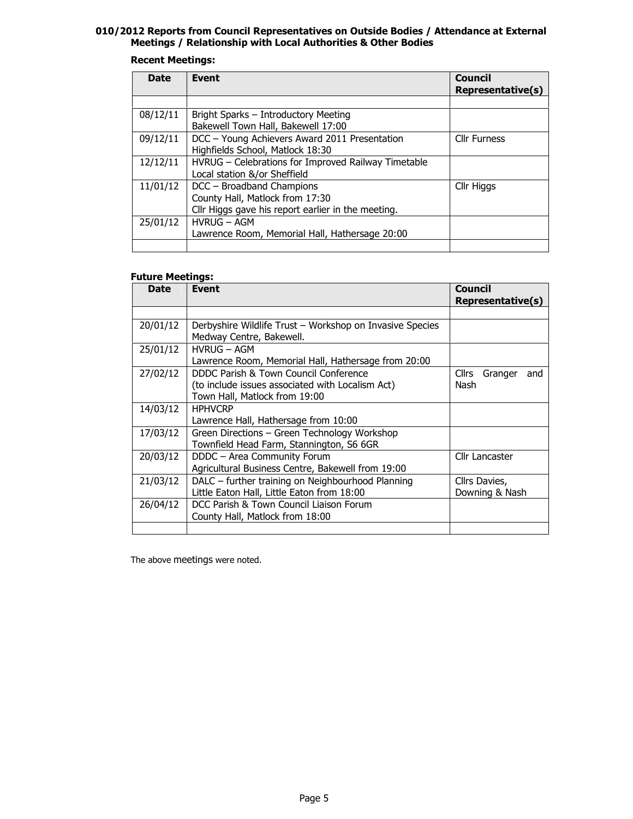## 010/2012 Reports from Council Representatives on Outside Bodies / Attendance at External Meetings / Relationship with Local Authorities & Other Bodies

## Recent Meetings:

| <b>Date</b> | <b>Event</b>                                                                                                       | Council<br>Representative(s) |
|-------------|--------------------------------------------------------------------------------------------------------------------|------------------------------|
|             |                                                                                                                    |                              |
| 08/12/11    | Bright Sparks - Introductory Meeting<br>Bakewell Town Hall, Bakewell 17:00                                         |                              |
| 09/12/11    | DCC - Young Achievers Award 2011 Presentation<br>Highfields School, Matlock 18:30                                  | <b>Cllr Furness</b>          |
| 12/12/11    | HVRUG - Celebrations for Improved Railway Timetable<br>Local station &/or Sheffield                                |                              |
| 11/01/12    | DCC - Broadband Champions<br>County Hall, Matlock from 17:30<br>Cllr Higgs gave his report earlier in the meeting. | Cllr Higgs                   |
| 25/01/12    | <b>HVRUG - AGM</b><br>Lawrence Room, Memorial Hall, Hathersage 20:00                                               |                              |
|             |                                                                                                                    |                              |

### Future Meetings:

| <b>Date</b> | Event                                                                                           | <b>Council</b><br>Representative(s)    |
|-------------|-------------------------------------------------------------------------------------------------|----------------------------------------|
|             |                                                                                                 |                                        |
| 20/01/12    | Derbyshire Wildlife Trust – Workshop on Invasive Species<br>Medway Centre, Bakewell.            |                                        |
| 25/01/12    | <b>HVRUG - AGM</b>                                                                              |                                        |
|             | Lawrence Room, Memorial Hall, Hathersage from 20:00                                             |                                        |
| 27/02/12    | DDDC Parish & Town Council Conference<br>(to include issues associated with Localism Act)       | <b>Cllrs</b><br>Granger<br>and<br>Nash |
|             | Town Hall, Matlock from 19:00                                                                   |                                        |
| 14/03/12    | <b>HPHVCRP</b><br>Lawrence Hall, Hathersage from 10:00                                          |                                        |
| 17/03/12    | Green Directions - Green Technology Workshop<br>Townfield Head Farm, Stannington, S6 6GR        |                                        |
| 20/03/12    | DDDC - Area Community Forum<br>Agricultural Business Centre, Bakewell from 19:00                | Cllr Lancaster                         |
| 21/03/12    | DALC - further training on Neighbourhood Planning<br>Little Eaton Hall, Little Eaton from 18:00 | Cllrs Davies,<br>Downing & Nash        |
| 26/04/12    | DCC Parish & Town Council Liaison Forum<br>County Hall, Matlock from 18:00                      |                                        |
|             |                                                                                                 |                                        |

The above meetings were noted.